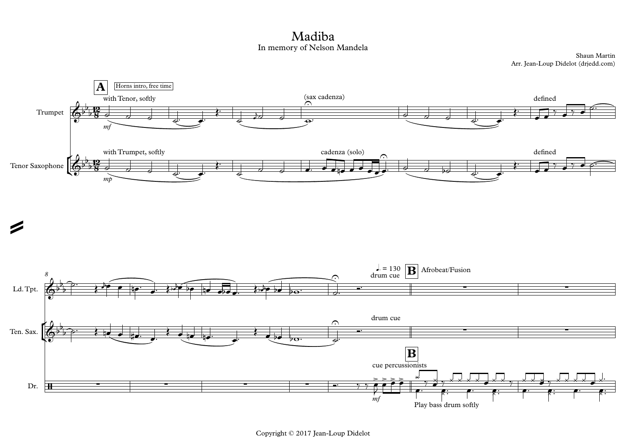## In memory of Nelson Mandela Madiba

Shaun Martin Arr. Jean-Loup Didelot (drjedd.com)



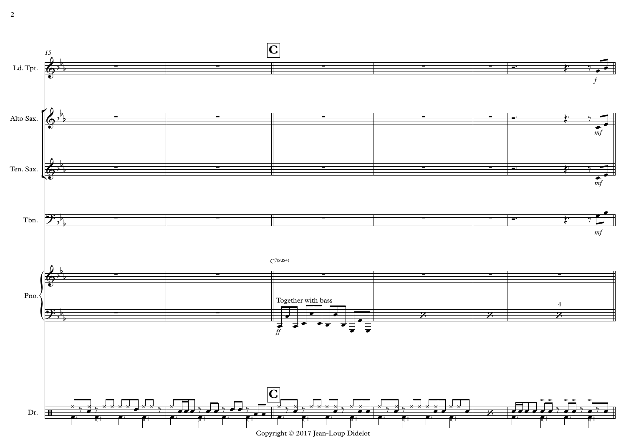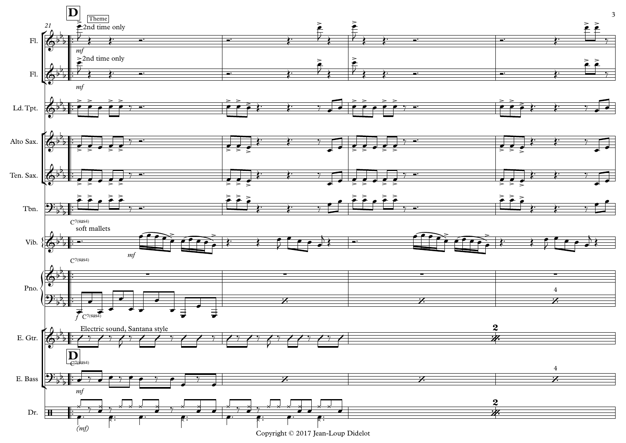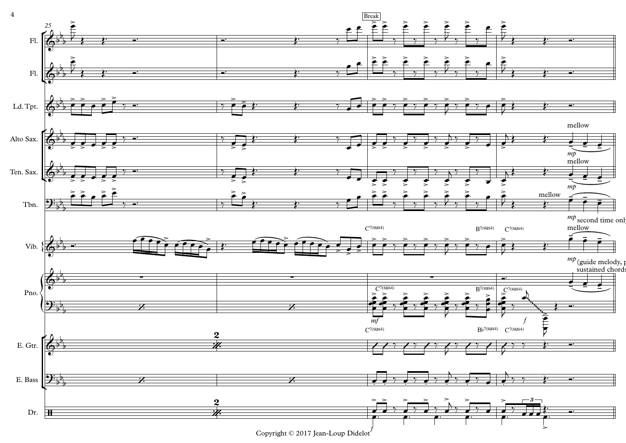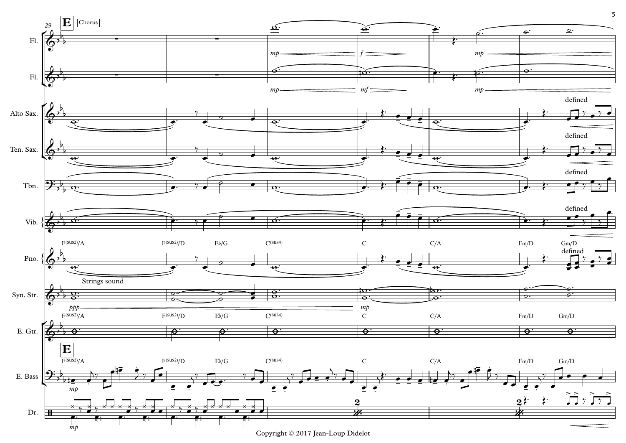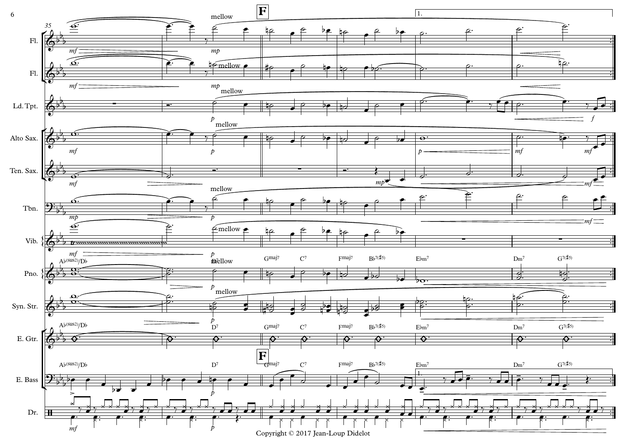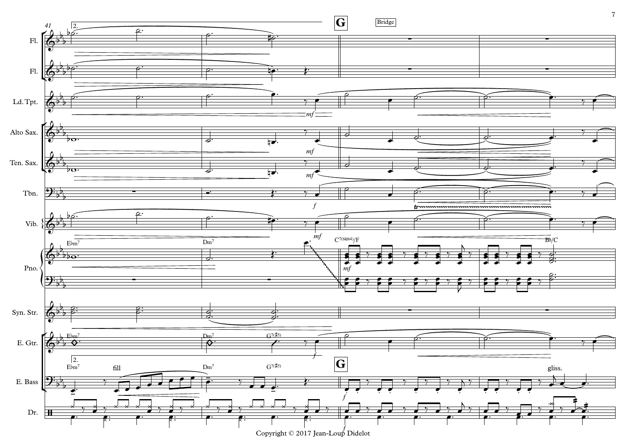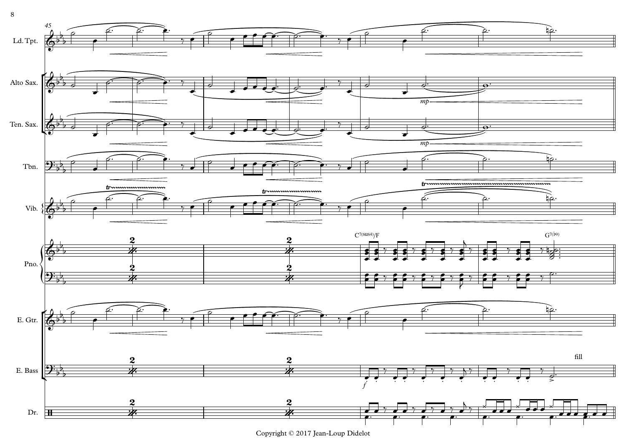

Copyright © 2017 Jean-Loup Didelot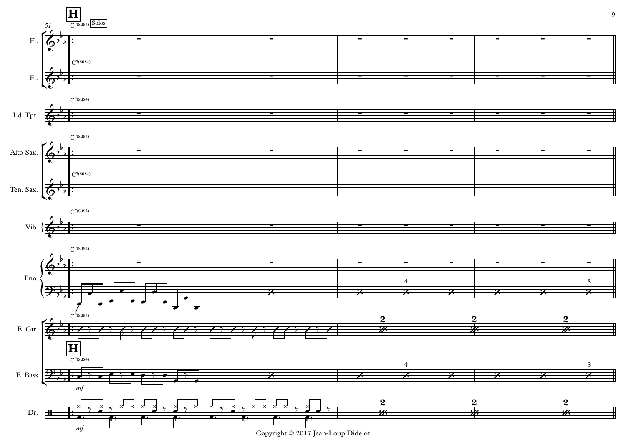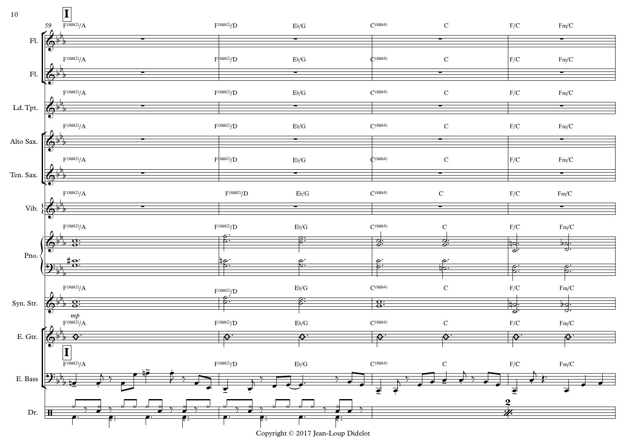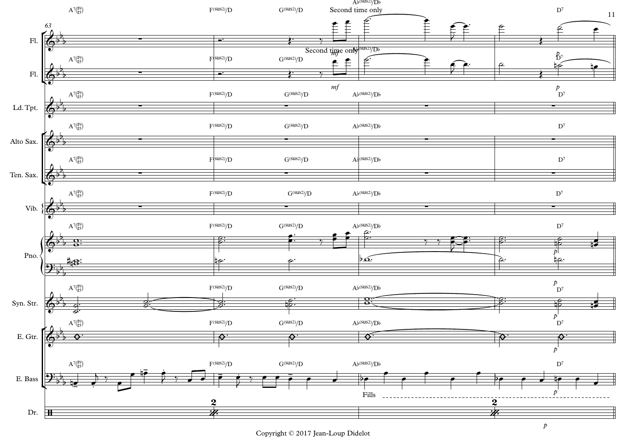![](_page_10_Figure_0.jpeg)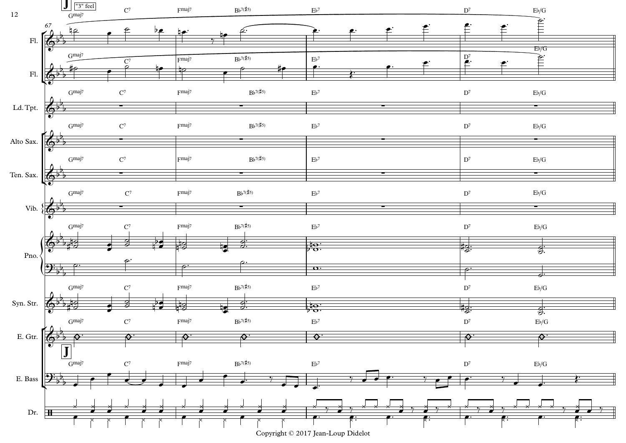![](_page_11_Figure_0.jpeg)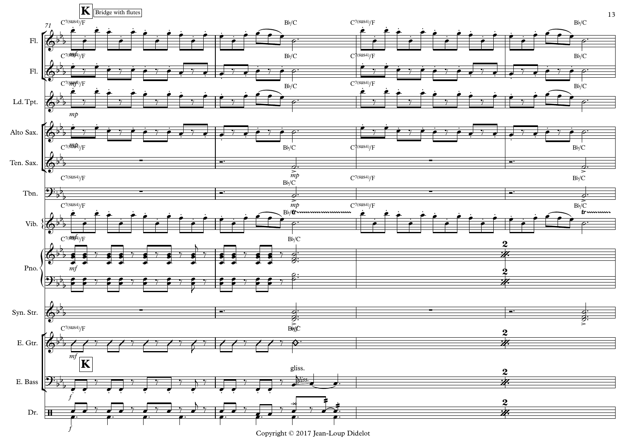![](_page_12_Figure_0.jpeg)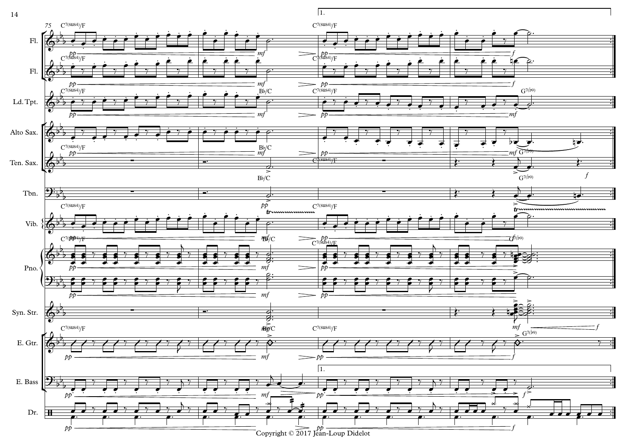![](_page_13_Figure_0.jpeg)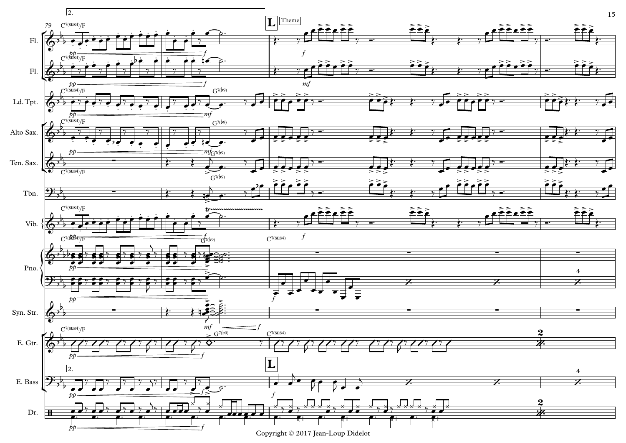![](_page_14_Figure_0.jpeg)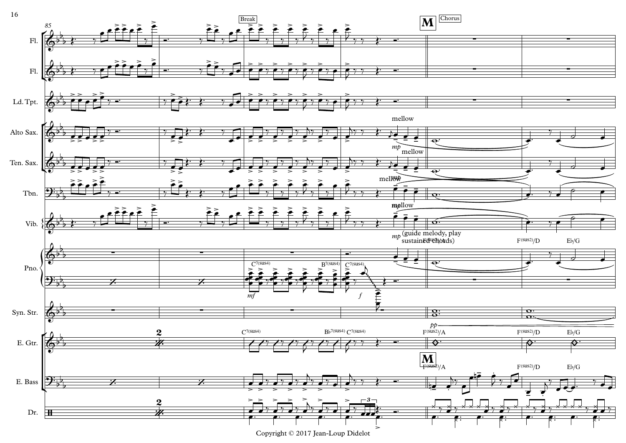![](_page_15_Figure_0.jpeg)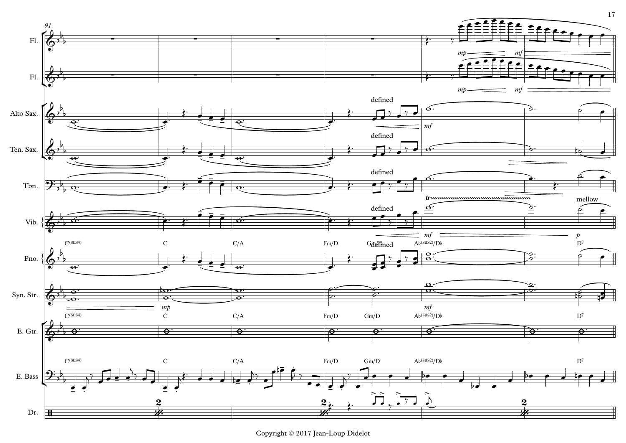![](_page_16_Figure_0.jpeg)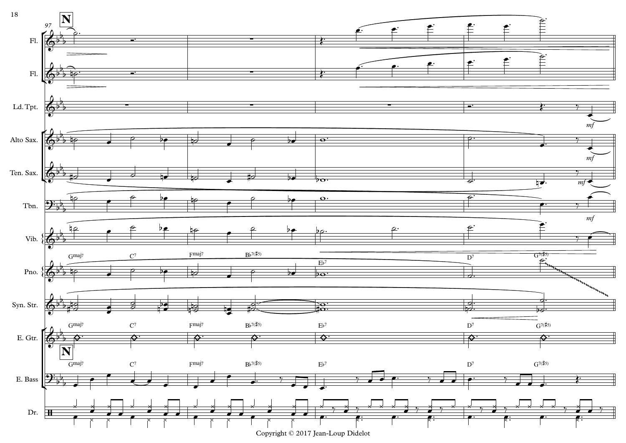![](_page_17_Figure_0.jpeg)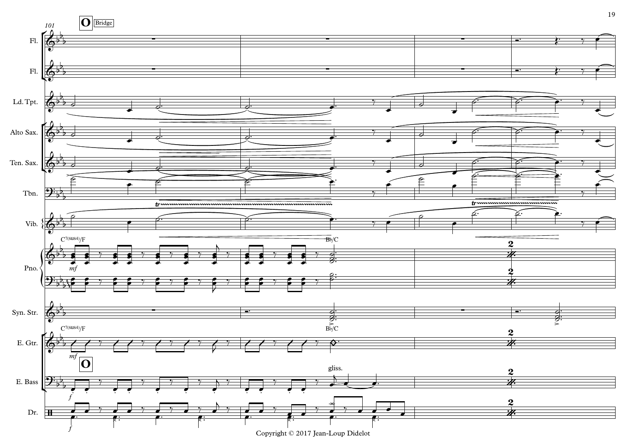![](_page_18_Figure_0.jpeg)